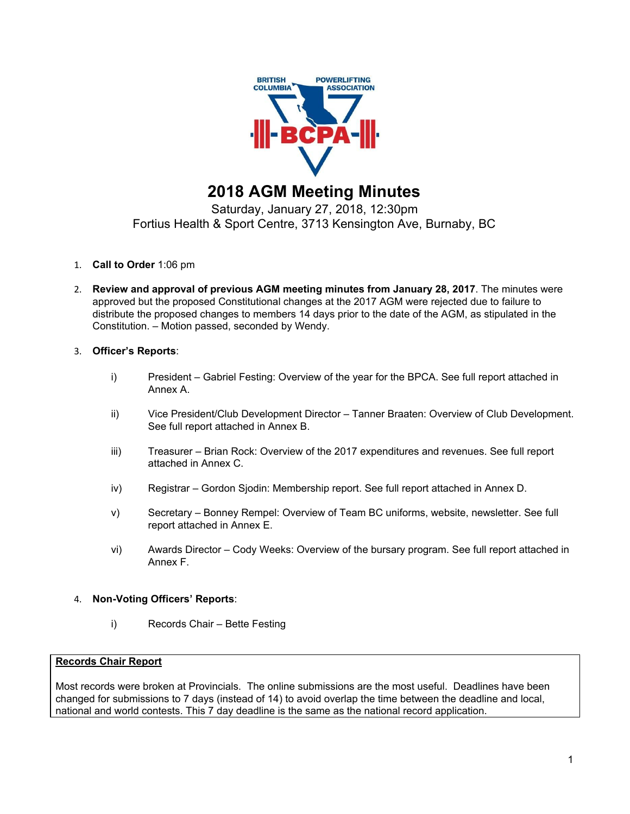

# **2018 AGM Meeting Minutes**

Saturday, January 27, 2018, 12:30pm Fortius Health & Sport Centre, 3713 Kensington Ave, Burnaby, BC

- 1. **Call to Order** 1:06 pm
- 2. **Review and approval of previous AGM meeting minutes from January 28, 2017**. The minutes were approved but the proposed Constitutional changes at the 2017 AGM were rejected due to failure to distribute the proposed changes to members 14 days prior to the date of the AGM, as stipulated in the Constitution. – Motion passed, seconded by Wendy.

## 3. **Officer's Reports**:

- i) President Gabriel Festing: Overview of the year for the BPCA. See full report attached in Annex A.
- ii) Vice President/Club Development Director Tanner Braaten: Overview of Club Development. See full report attached in Annex B.
- iii) Treasurer Brian Rock: Overview of the 2017 expenditures and revenues. See full report attached in Annex C.
- iv) Registrar Gordon Sjodin: Membership report. See full report attached in Annex D.
- v) Secretary Bonney Rempel: Overview of Team BC uniforms, website, newsletter. See full report attached in Annex E.
- vi) Awards Director Cody Weeks: Overview of the bursary program. See full report attached in Annex F.

## 4. **Non-Voting Officers' Reports**:

i) Records Chair – Bette Festing

### **Records Chair Report**

Most records were broken at Provincials. The online submissions are the most useful. Deadlines have been changed for submissions to 7 days (instead of 14) to avoid overlap the time between the deadline and local, national and world contests. This 7 day deadline is the same as the national record application.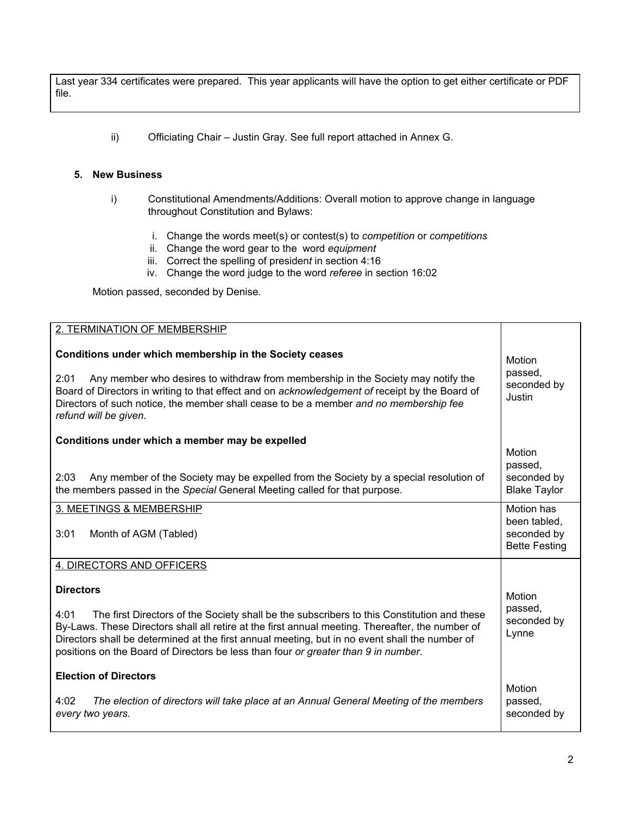Last year 334 certificates were prepared. This year applicants will have the option to get either certificate or PDF file.

ii) Officiating Chair – Justin Gray. See full report attached in Annex G.

### **5. New Business**

- i) Constitutional Amendments/Additions: Overall motion to approve change in language throughout Constitution and Bylaws:
	- i. Change the words meet(s) or contest(s) to *competition* or *competitions*
	- ii. Change the word gear to the word *equipment*
	- iii. Correct the spelling of presiden*t* in section 4:16
	- iv. Change the word judge to the word *referee* in section 16:02

Motion passed, seconded by Denise.

| 2. TERMINATION OF MEMBERSHIP                                                                                                                                                                                                                                                                                                                                                                                       |                                                                   |  |  |
|--------------------------------------------------------------------------------------------------------------------------------------------------------------------------------------------------------------------------------------------------------------------------------------------------------------------------------------------------------------------------------------------------------------------|-------------------------------------------------------------------|--|--|
| Conditions under which membership in the Society ceases<br>2:01<br>Any member who desires to withdraw from membership in the Society may notify the<br>Board of Directors in writing to that effect and on acknowledgement of receipt by the Board of<br>Directors of such notice, the member shall cease to be a member and no membership fee<br>refund will be given.                                            | Motion<br>passed,<br>seconded by<br>Justin                        |  |  |
| Conditions under which a member may be expelled<br>2:03<br>Any member of the Society may be expelled from the Society by a special resolution of<br>the members passed in the Special General Meeting called for that purpose.                                                                                                                                                                                     | Motion<br>passed,<br>seconded by<br><b>Blake Taylor</b>           |  |  |
| 3. MEETINGS & MEMBERSHIP<br>3:01<br>Month of AGM (Tabled)                                                                                                                                                                                                                                                                                                                                                          | Motion has<br>been tabled,<br>seconded by<br><b>Bette Festing</b> |  |  |
| 4. DIRECTORS AND OFFICERS                                                                                                                                                                                                                                                                                                                                                                                          |                                                                   |  |  |
| <b>Directors</b><br>The first Directors of the Society shall be the subscribers to this Constitution and these<br>4:01<br>By-Laws. These Directors shall all retire at the first annual meeting. Thereafter, the number of<br>Directors shall be determined at the first annual meeting, but in no event shall the number of<br>positions on the Board of Directors be less than four or greater than 9 in number. |                                                                   |  |  |
| <b>Election of Directors</b>                                                                                                                                                                                                                                                                                                                                                                                       |                                                                   |  |  |
| 4:02<br>The election of directors will take place at an Annual General Meeting of the members<br>every two years.                                                                                                                                                                                                                                                                                                  | Motion<br>passed,<br>seconded by                                  |  |  |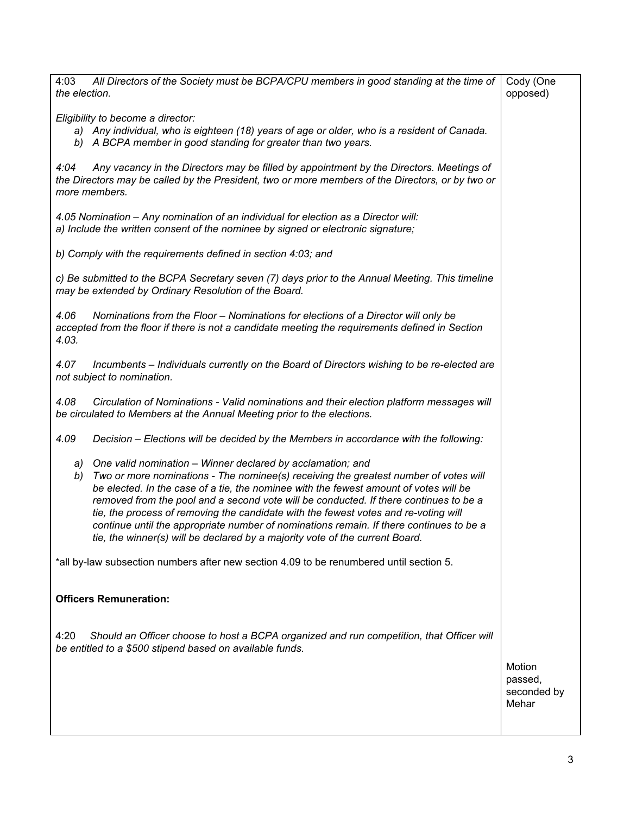| All Directors of the Society must be BCPA/CPU members in good standing at the time of<br>4:03<br>the election.                                                                                                                                                                                                                                                                                                                                                                                                                                                                                                     | Cody (One<br>opposed)                     |
|--------------------------------------------------------------------------------------------------------------------------------------------------------------------------------------------------------------------------------------------------------------------------------------------------------------------------------------------------------------------------------------------------------------------------------------------------------------------------------------------------------------------------------------------------------------------------------------------------------------------|-------------------------------------------|
| Eligibility to become a director:<br>a) Any individual, who is eighteen (18) years of age or older, who is a resident of Canada.<br>b) A BCPA member in good standing for greater than two years.                                                                                                                                                                                                                                                                                                                                                                                                                  |                                           |
| Any vacancy in the Directors may be filled by appointment by the Directors. Meetings of<br>4:04<br>the Directors may be called by the President, two or more members of the Directors, or by two or<br>more members.                                                                                                                                                                                                                                                                                                                                                                                               |                                           |
| 4.05 Nomination - Any nomination of an individual for election as a Director will:<br>a) Include the written consent of the nominee by signed or electronic signature;                                                                                                                                                                                                                                                                                                                                                                                                                                             |                                           |
| b) Comply with the requirements defined in section 4:03; and                                                                                                                                                                                                                                                                                                                                                                                                                                                                                                                                                       |                                           |
| c) Be submitted to the BCPA Secretary seven (7) days prior to the Annual Meeting. This timeline<br>may be extended by Ordinary Resolution of the Board.                                                                                                                                                                                                                                                                                                                                                                                                                                                            |                                           |
| 4.06<br>Nominations from the Floor - Nominations for elections of a Director will only be<br>accepted from the floor if there is not a candidate meeting the requirements defined in Section<br>4.03.                                                                                                                                                                                                                                                                                                                                                                                                              |                                           |
| 4.07<br>Incumbents - Individuals currently on the Board of Directors wishing to be re-elected are<br>not subject to nomination.                                                                                                                                                                                                                                                                                                                                                                                                                                                                                    |                                           |
| 4.08<br>Circulation of Nominations - Valid nominations and their election platform messages will<br>be circulated to Members at the Annual Meeting prior to the elections.                                                                                                                                                                                                                                                                                                                                                                                                                                         |                                           |
| 4.09<br>Decision – Elections will be decided by the Members in accordance with the following:                                                                                                                                                                                                                                                                                                                                                                                                                                                                                                                      |                                           |
| One valid nomination - Winner declared by acclamation; and<br>a)<br>Two or more nominations - The nominee(s) receiving the greatest number of votes will<br>b)<br>be elected. In the case of a tie, the nominee with the fewest amount of votes will be<br>removed from the pool and a second vote will be conducted. If there continues to be a<br>tie, the process of removing the candidate with the fewest votes and re-voting will<br>continue until the appropriate number of nominations remain. If there continues to be a<br>tie, the winner(s) will be declared by a majority vote of the current Board. |                                           |
| *all by-law subsection numbers after new section 4.09 to be renumbered until section 5.                                                                                                                                                                                                                                                                                                                                                                                                                                                                                                                            |                                           |
| <b>Officers Remuneration:</b>                                                                                                                                                                                                                                                                                                                                                                                                                                                                                                                                                                                      |                                           |
| 4:20<br>Should an Officer choose to host a BCPA organized and run competition, that Officer will<br>be entitled to a \$500 stipend based on available funds.                                                                                                                                                                                                                                                                                                                                                                                                                                                       | Motion<br>passed,<br>seconded by<br>Mehar |
|                                                                                                                                                                                                                                                                                                                                                                                                                                                                                                                                                                                                                    |                                           |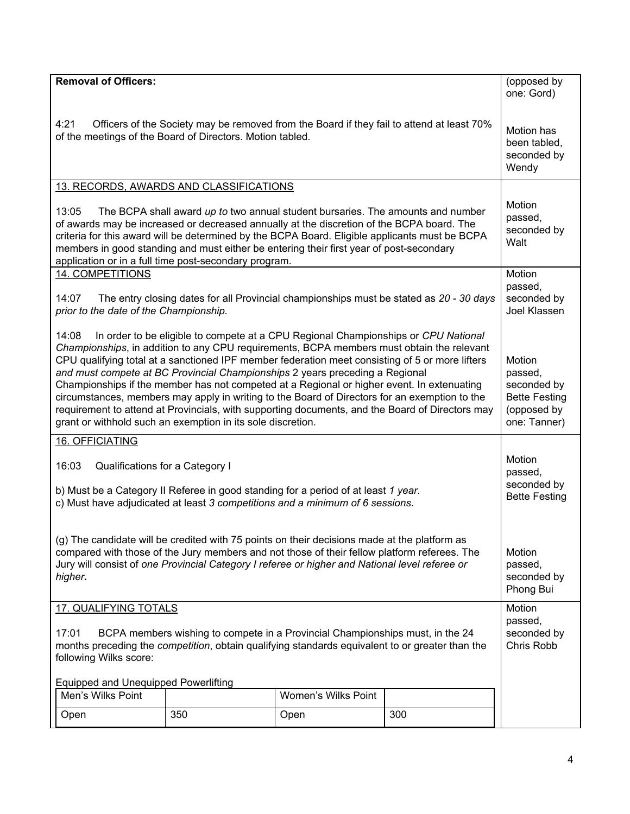| <b>Removal of Officers:</b>                                                                                                                                                                                                                                                                                                                                                                                                                                                                                                                                                                                                                                                                                                                  |                                                    |  |                                                                                         |                                                                                         |
|----------------------------------------------------------------------------------------------------------------------------------------------------------------------------------------------------------------------------------------------------------------------------------------------------------------------------------------------------------------------------------------------------------------------------------------------------------------------------------------------------------------------------------------------------------------------------------------------------------------------------------------------------------------------------------------------------------------------------------------------|----------------------------------------------------|--|-----------------------------------------------------------------------------------------|-----------------------------------------------------------------------------------------|
| 4:21<br>Officers of the Society may be removed from the Board if they fail to attend at least 70%<br>of the meetings of the Board of Directors. Motion tabled.                                                                                                                                                                                                                                                                                                                                                                                                                                                                                                                                                                               | Motion has<br>been tabled.<br>seconded by<br>Wendy |  |                                                                                         |                                                                                         |
| 13. RECORDS, AWARDS AND CLASSIFICATIONS                                                                                                                                                                                                                                                                                                                                                                                                                                                                                                                                                                                                                                                                                                      |                                                    |  |                                                                                         |                                                                                         |
| 13:05<br>The BCPA shall award up to two annual student bursaries. The amounts and number<br>of awards may be increased or decreased annually at the discretion of the BCPA board. The<br>criteria for this award will be determined by the BCPA Board. Eligible applicants must be BCPA<br>members in good standing and must either be entering their first year of post-secondary<br>application or in a full time post-secondary program.                                                                                                                                                                                                                                                                                                  |                                                    |  |                                                                                         |                                                                                         |
| 14. COMPETITIONS                                                                                                                                                                                                                                                                                                                                                                                                                                                                                                                                                                                                                                                                                                                             |                                                    |  |                                                                                         | Motion                                                                                  |
| 14:07<br>prior to the date of the Championship.                                                                                                                                                                                                                                                                                                                                                                                                                                                                                                                                                                                                                                                                                              |                                                    |  | The entry closing dates for all Provincial championships must be stated as 20 - 30 days | passed,<br>seconded by<br>Joel Klassen                                                  |
| 14:08<br>In order to be eligible to compete at a CPU Regional Championships or CPU National<br>Championships, in addition to any CPU requirements, BCPA members must obtain the relevant<br>CPU qualifying total at a sanctioned IPF member federation meet consisting of 5 or more lifters<br>and must compete at BC Provincial Championships 2 years preceding a Regional<br>Championships if the member has not competed at a Regional or higher event. In extenuating<br>circumstances, members may apply in writing to the Board of Directors for an exemption to the<br>requirement to attend at Provincials, with supporting documents, and the Board of Directors may<br>grant or withhold such an exemption in its sole discretion. |                                                    |  |                                                                                         | Motion<br>passed,<br>seconded by<br><b>Bette Festing</b><br>(opposed by<br>one: Tanner) |
| 16. OFFICIATING                                                                                                                                                                                                                                                                                                                                                                                                                                                                                                                                                                                                                                                                                                                              |                                                    |  |                                                                                         |                                                                                         |
| 16:03<br>Qualifications for a Category I<br>b) Must be a Category II Referee in good standing for a period of at least 1 year.<br>c) Must have adjudicated at least 3 competitions and a minimum of 6 sessions.                                                                                                                                                                                                                                                                                                                                                                                                                                                                                                                              |                                                    |  |                                                                                         | Motion<br>passed,<br>seconded by<br><b>Bette Festing</b>                                |
| (g) The candidate will be credited with 75 points on their decisions made at the platform as<br>compared with those of the Jury members and not those of their fellow platform referees. The<br>Jury will consist of one Provincial Category I referee or higher and National level referee or<br>higher.                                                                                                                                                                                                                                                                                                                                                                                                                                    |                                                    |  |                                                                                         | Motion<br>passed,<br>seconded by<br>Phong Bui                                           |
| 17. QUALIFYING TOTALS                                                                                                                                                                                                                                                                                                                                                                                                                                                                                                                                                                                                                                                                                                                        |                                                    |  |                                                                                         | Motion                                                                                  |
| 17:01<br>BCPA members wishing to compete in a Provincial Championships must, in the 24<br>months preceding the <i>competition</i> , obtain qualifying standards equivalent to or greater than the<br>following Wilks score:                                                                                                                                                                                                                                                                                                                                                                                                                                                                                                                  |                                                    |  |                                                                                         | passed,<br>seconded by<br>Chris Robb                                                    |
|                                                                                                                                                                                                                                                                                                                                                                                                                                                                                                                                                                                                                                                                                                                                              |                                                    |  |                                                                                         |                                                                                         |
| <b>Equipped and Unequipped Powerlifting</b><br>Women's Wilks Point<br>Men's Wilks Point                                                                                                                                                                                                                                                                                                                                                                                                                                                                                                                                                                                                                                                      |                                                    |  |                                                                                         |                                                                                         |
| 350<br>300<br>Open<br>Open                                                                                                                                                                                                                                                                                                                                                                                                                                                                                                                                                                                                                                                                                                                   |                                                    |  |                                                                                         |                                                                                         |
|                                                                                                                                                                                                                                                                                                                                                                                                                                                                                                                                                                                                                                                                                                                                              |                                                    |  |                                                                                         |                                                                                         |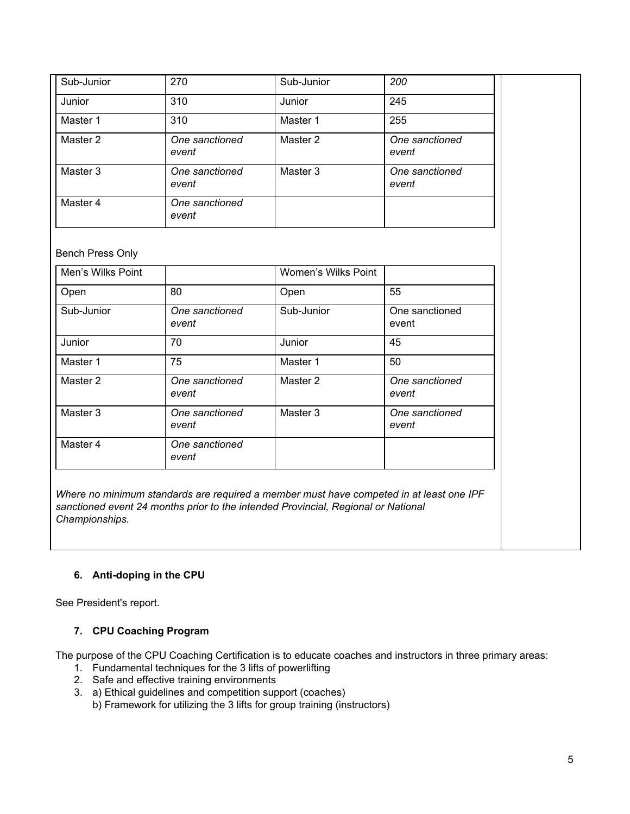| Sub-Junior                            | 270                     | Sub-Junior          | 200                     |
|---------------------------------------|-------------------------|---------------------|-------------------------|
| Junior                                | 310                     | Junior              | 245                     |
| Master 1                              | 310                     | Master 1            | 255                     |
| Master 2                              | One sanctioned<br>event | Master <sub>2</sub> | One sanctioned<br>event |
| Master 3                              | One sanctioned<br>event | Master 3            | One sanctioned<br>event |
| Master 4                              | One sanctioned<br>event |                     |                         |
| Bench Press Only<br>Men's Wilks Point |                         | Women's Wilks Point |                         |
| Open                                  | 80                      | Open                | 55                      |
| Sub-Junior                            | One sanctioned<br>event | Sub-Junior          | One sanctioned<br>event |
| Junior                                | 70                      | Junior              | 45                      |
| Master 1                              | 75                      | Master 1            | 50                      |
| Master 2                              | One sanctioned<br>event | Master <sub>2</sub> | One sanctioned<br>event |
| Master 3                              | One sanctioned<br>event | Master 3            | One sanctioned<br>event |
| Master 4                              | One sanctioned          |                     |                         |

*Where no minimum standards are required a member must have competed in at least one IPF sanctioned event 24 months prior to the intended Provincial, Regional or National Championships.*

# **6. Anti-doping in the CPU**

See President's report.

# **7. CPU Coaching Program**

The purpose of the CPU Coaching Certification is to educate coaches and instructors in three primary areas:

- 1. Fundamental techniques for the 3 lifts of powerlifting
- 2. Safe and effective training environments

*event*

- 3. a) Ethical guidelines and competition support (coaches)
	- b) Framework for utilizing the 3 lifts for group training (instructors)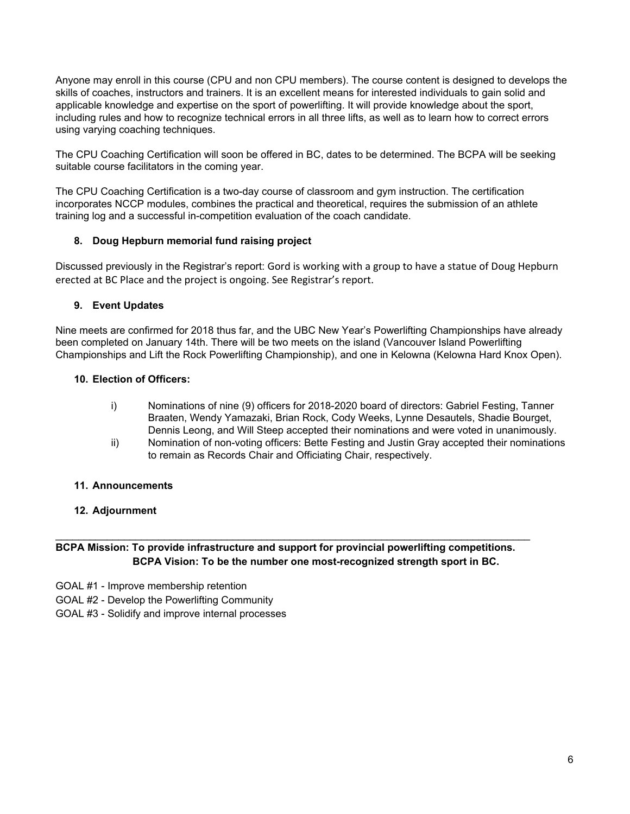Anyone may enroll in this course (CPU and non CPU members). The course content is designed to develops the skills of coaches, instructors and trainers. It is an excellent means for interested individuals to gain solid and applicable knowledge and expertise on the sport of powerlifting. It will provide knowledge about the sport, including rules and how to recognize technical errors in all three lifts, as well as to learn how to correct errors using varying coaching techniques.

The CPU Coaching Certification will soon be offered in BC, dates to be determined. The BCPA will be seeking suitable course facilitators in the coming year.

The CPU Coaching Certification is a two-day course of classroom and gym instruction. The certification incorporates NCCP modules, combines the practical and theoretical, requires the submission of an athlete training log and a successful in-competition evaluation of the coach candidate.

# **8. Doug Hepburn memorial fund raising project**

Discussed previously in the Registrar's report: Gord is working with a group to have a statue of Doug Hepburn erected at BC Place and the project is ongoing. See Registrar's report.

## **9. Event Updates**

Nine meets are confirmed for 2018 thus far, and the UBC New Year's Powerlifting Championships have already been completed on January 14th. There will be two meets on the island (Vancouver Island Powerlifting Championships and Lift the Rock Powerlifting Championship), and one in Kelowna (Kelowna Hard Knox Open).

## **10. Election of Officers:**

- i) Nominations of nine (9) officers for 2018-2020 board of directors: Gabriel Festing, Tanner Braaten, Wendy Yamazaki, Brian Rock, Cody Weeks, Lynne Desautels, Shadie Bourget, Dennis Leong, and Will Steep accepted their nominations and were voted in unanimously.
- ii) Nomination of non-voting officers: Bette Festing and Justin Gray accepted their nominations to remain as Records Chair and Officiating Chair, respectively.

## **11. Announcements**

**12. Adjournment**

# **BCPA Mission: To provide infrastructure and support for provincial powerlifting competitions. BCPA Vision: To be the number one most-recognized strength sport in BC.**

 $\_$  ,  $\_$  ,  $\_$  ,  $\_$  ,  $\_$  ,  $\_$  ,  $\_$  ,  $\_$  ,  $\_$  ,  $\_$  ,  $\_$  ,  $\_$  ,  $\_$  ,  $\_$  ,  $\_$  ,  $\_$  ,  $\_$  ,  $\_$  ,  $\_$  ,  $\_$ 

- GOAL #1 Improve membership retention
- GOAL #2 Develop the Powerlifting Community
- GOAL #3 Solidify and improve internal processes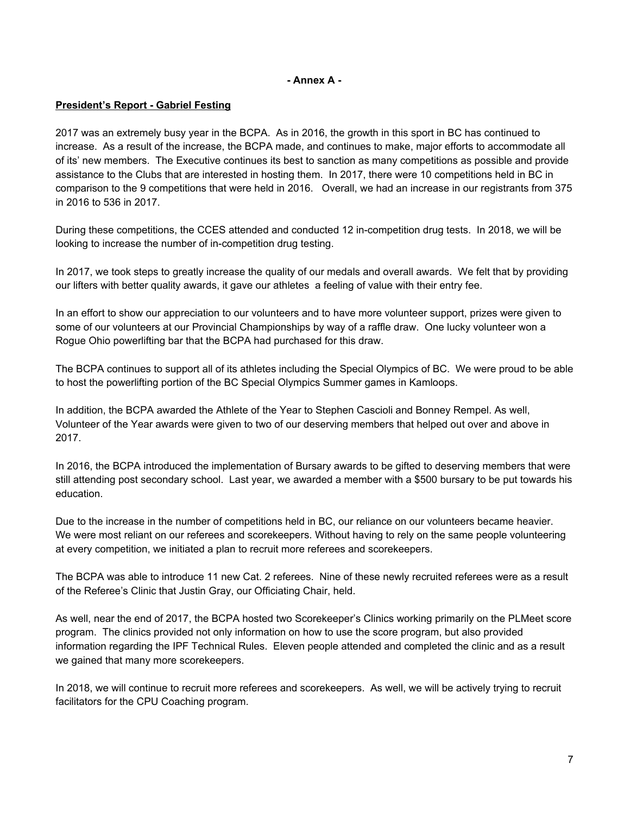### **- Annex A -**

# **President's Report - Gabriel Festing**

2017 was an extremely busy year in the BCPA. As in 2016, the growth in this sport in BC has continued to increase. As a result of the increase, the BCPA made, and continues to make, major efforts to accommodate all of its' new members. The Executive continues its best to sanction as many competitions as possible and provide assistance to the Clubs that are interested in hosting them. In 2017, there were 10 competitions held in BC in comparison to the 9 competitions that were held in 2016. Overall, we had an increase in our registrants from 375 in 2016 to 536 in 2017.

During these competitions, the CCES attended and conducted 12 in-competition drug tests. In 2018, we will be looking to increase the number of in-competition drug testing.

In 2017, we took steps to greatly increase the quality of our medals and overall awards. We felt that by providing our lifters with better quality awards, it gave our athletes a feeling of value with their entry fee.

In an effort to show our appreciation to our volunteers and to have more volunteer support, prizes were given to some of our volunteers at our Provincial Championships by way of a raffle draw. One lucky volunteer won a Rogue Ohio powerlifting bar that the BCPA had purchased for this draw.

The BCPA continues to support all of its athletes including the Special Olympics of BC. We were proud to be able to host the powerlifting portion of the BC Special Olympics Summer games in Kamloops.

In addition, the BCPA awarded the Athlete of the Year to Stephen Cascioli and Bonney Rempel. As well, Volunteer of the Year awards were given to two of our deserving members that helped out over and above in 2017.

In 2016, the BCPA introduced the implementation of Bursary awards to be gifted to deserving members that were still attending post secondary school. Last year, we awarded a member with a \$500 bursary to be put towards his education.

Due to the increase in the number of competitions held in BC, our reliance on our volunteers became heavier. We were most reliant on our referees and scorekeepers. Without having to rely on the same people volunteering at every competition, we initiated a plan to recruit more referees and scorekeepers.

The BCPA was able to introduce 11 new Cat. 2 referees. Nine of these newly recruited referees were as a result of the Referee's Clinic that Justin Gray, our Officiating Chair, held.

As well, near the end of 2017, the BCPA hosted two Scorekeeper's Clinics working primarily on the PLMeet score program. The clinics provided not only information on how to use the score program, but also provided information regarding the IPF Technical Rules. Eleven people attended and completed the clinic and as a result we gained that many more scorekeepers.

In 2018, we will continue to recruit more referees and scorekeepers. As well, we will be actively trying to recruit facilitators for the CPU Coaching program.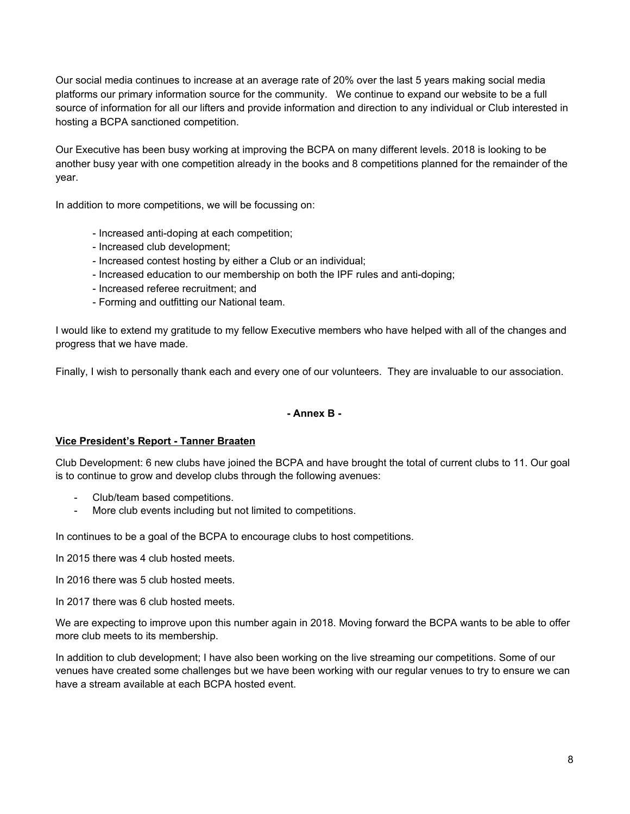Our social media continues to increase at an average rate of 20% over the last 5 years making social media platforms our primary information source for the community. We continue to expand our website to be a full source of information for all our lifters and provide information and direction to any individual or Club interested in hosting a BCPA sanctioned competition.

Our Executive has been busy working at improving the BCPA on many different levels. 2018 is looking to be another busy year with one competition already in the books and 8 competitions planned for the remainder of the year.

In addition to more competitions, we will be focussing on:

- Increased anti-doping at each competition;
- Increased club development;
- Increased contest hosting by either a Club or an individual;
- Increased education to our membership on both the IPF rules and anti-doping;
- Increased referee recruitment; and
- Forming and outfitting our National team.

I would like to extend my gratitude to my fellow Executive members who have helped with all of the changes and progress that we have made.

Finally, I wish to personally thank each and every one of our volunteers. They are invaluable to our association.

### **- Annex B -**

### **Vice President's Report - Tanner Braaten**

Club Development: 6 new clubs have joined the BCPA and have brought the total of current clubs to 11. Our goal is to continue to grow and develop clubs through the following avenues:

- Club/team based competitions.
- More club events including but not limited to competitions.

In continues to be a goal of the BCPA to encourage clubs to host competitions.

In 2015 there was 4 club hosted meets.

In 2016 there was 5 club hosted meets.

In 2017 there was 6 club hosted meets.

We are expecting to improve upon this number again in 2018. Moving forward the BCPA wants to be able to offer more club meets to its membership.

In addition to club development; I have also been working on the live streaming our competitions. Some of our venues have created some challenges but we have been working with our regular venues to try to ensure we can have a stream available at each BCPA hosted event.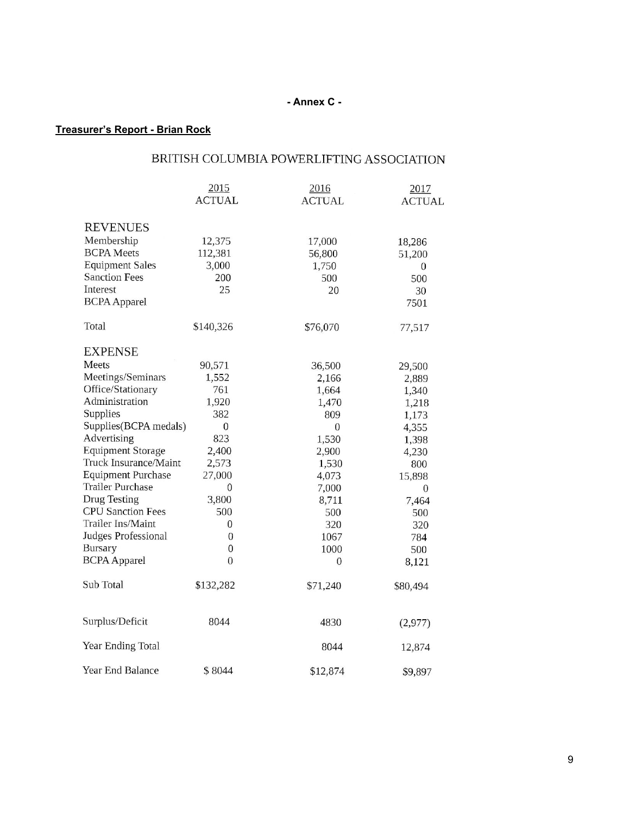# **- Annex C -**

# **Treasurer's Report - Brian Rock**

# BRITISH COLUMBIA POWERLIFTING ASSOCIATION

|                           | 2015<br><b>ACTUAL</b> | 2016<br><b>ACTUAL</b> | 2017<br><b>ACTUAL</b> |
|---------------------------|-----------------------|-----------------------|-----------------------|
| <b>REVENUES</b>           |                       |                       |                       |
| Membership                | 12,375                | 17,000                | 18,286                |
| <b>BCPA</b> Meets         | 112,381               | 56,800                | 51,200                |
| <b>Equipment Sales</b>    | 3,000                 | 1,750                 | $\overline{0}$        |
| <b>Sanction Fees</b>      | 200                   | 500                   | 500                   |
| Interest                  | 25                    | 20                    | 30                    |
| <b>BCPA</b> Apparel       |                       |                       | 7501                  |
| Total                     | \$140,326             | \$76,070              | 77,517                |
| <b>EXPENSE</b>            |                       |                       |                       |
| Meets                     | 90,571                | 36,500                | 29,500                |
| Meetings/Seminars         | 1,552                 | 2,166                 | 2,889                 |
| Office/Stationary         | 761                   | 1,664                 | 1,340                 |
| Administration            | 1,920                 | 1,470                 | 1,218                 |
| Supplies                  | 382                   | 809                   | 1,173                 |
| Supplies(BCPA medals)     | $\boldsymbol{0}$      | $\boldsymbol{0}$      | 4,355                 |
| Advertising               | 823                   | 1,530                 | 1,398                 |
| <b>Equipment Storage</b>  | 2,400                 | 2,900                 | 4,230                 |
| Truck Insurance/Maint     | 2,573                 | 1,530                 | 800                   |
| <b>Equipment Purchase</b> | 27,000                | 4,073                 | 15,898                |
| <b>Trailer Purchase</b>   | $\theta$              | 7,000                 | 0                     |
| Drug Testing              | 3,800                 | 8,711                 | 7,464                 |
| <b>CPU Sanction Fees</b>  | 500                   | 500                   | 500                   |
| Trailer Ins/Maint         | 0                     | 320                   | 320                   |
| Judges Professional       | $\mathbf{0}$          | 1067                  | 784                   |
| Bursary                   | $\mathbf{0}$          | 1000                  | 500                   |
| <b>BCPA</b> Apparel       | $\theta$              | 0                     | 8,121                 |
| Sub Total                 | \$132,282             | \$71,240              | \$80,494              |
| Surplus/Deficit           | 8044                  | 4830                  | (2, 977)              |
| Year Ending Total         |                       | 8044                  | 12,874                |
| Year End Balance          | \$8044                | \$12,874              | \$9,897               |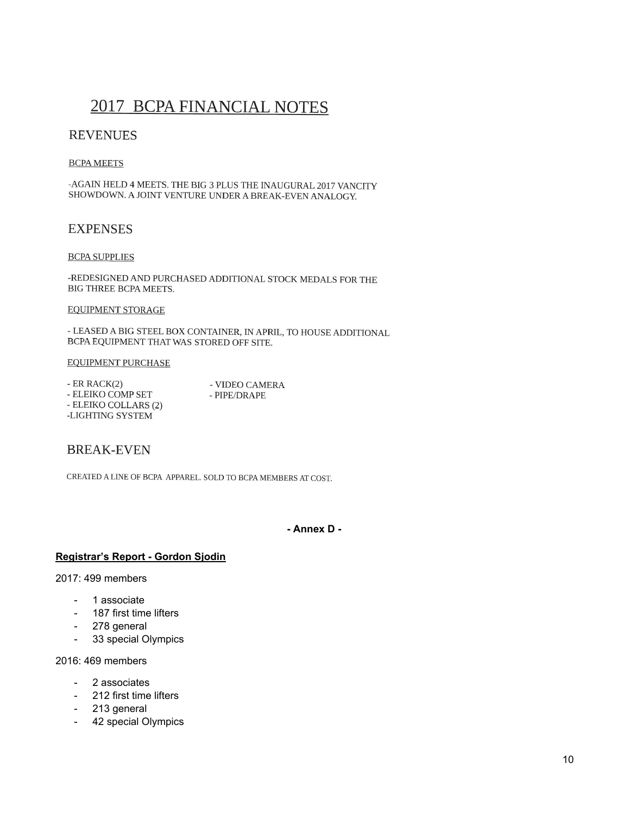# 2017 BCPA FINANCIAL NOTES

# **REVENUES**

### **BCPA MEETS**

-AGAIN HELD 4 MEETS. THE BIG 3 PLUS THE INAUGURAL 2017 VANCITY SHOWDOWN. A JOINT VENTURE UNDER A BREAK-EVEN ANALOGY.

# **EXPENSES**

### **BCPA SUPPLIES**

-REDESIGNED AND PURCHASED ADDITIONAL STOCK MEDALS FOR THE BIG THREE BCPA MEETS.

### **EQUIPMENT STORAGE**

- LEASED A BIG STEEL BOX CONTAINER, IN APRIL, TO HOUSE ADDITIONAL BCPA EQUIPMENT THAT WAS STORED OFF SITE.

## **EQUIPMENT PURCHASE**

| $-ER RACK(2)$        |  |
|----------------------|--|
| - ELEIKO COMP SET    |  |
| - ELEIKO COLLARS (2) |  |
| -LIGHTING SYSTEM     |  |

- VIDEO CAMERA - PIPE/DRAPE

# **BREAK-EVEN**

CREATED A LINE OF BCPA APPAREL. SOLD TO BCPA MEMBERS AT COST.

**- A n n e x D -**

## Registrar's Report - Gordon Sjodin

### 2017: 499 members

- 1 a s s o cia t e
- 187 first time lifters
- 278 general
- 33 special Olympics

### 2016: 469 members

- 2 associates
- 212 first time lifters
- $-$ 213 general
- 42 special Olympics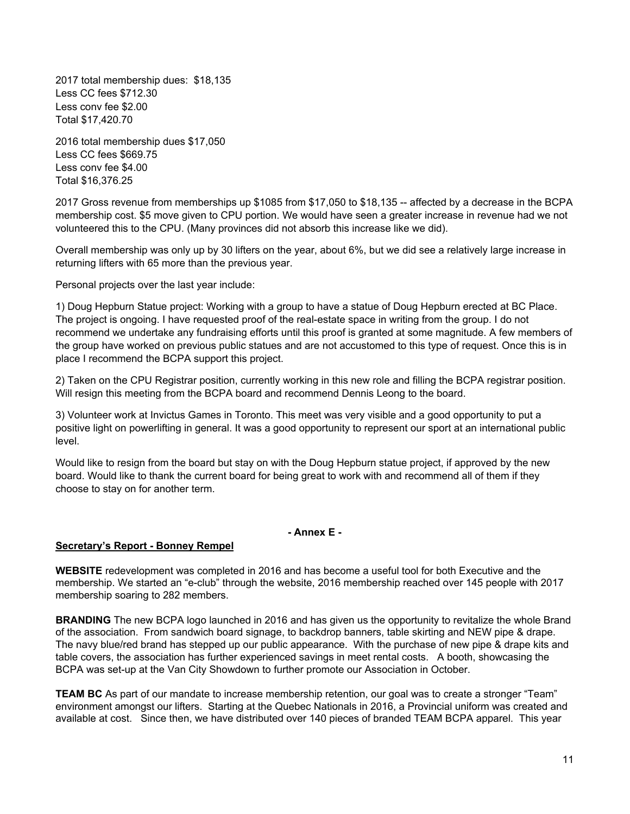2017 total membership dues: \$18,135 Less CC fees \$712.30 Less conv fee \$2.00 Total \$17,420.70

2016 total membership dues \$17,050 Less CC fees \$669.75 Less conv fee \$4.00 Total \$16,376.25

2017 Gross revenue from memberships up \$1085 from \$17,050 to \$18,135 -- affected by a decrease in the BCPA membership cost. \$5 move given to CPU portion. We would have seen a greater increase in revenue had we not volunteered this to the CPU. (Many provinces did not absorb this increase like we did).

Overall membership was only up by 30 lifters on the year, about 6%, but we did see a relatively large increase in returning lifters with 65 more than the previous year.

Personal projects over the last year include:

1) Doug Hepburn Statue project: Working with a group to have a statue of Doug Hepburn erected at BC Place. The project is ongoing. I have requested proof of the real-estate space in writing from the group. I do not recommend we undertake any fundraising efforts until this proof is granted at some magnitude. A few members of the group have worked on previous public statues and are not accustomed to this type of request. Once this is in place I recommend the BCPA support this project.

2) Taken on the CPU Registrar position, currently working in this new role and filling the BCPA registrar position. Will resign this meeting from the BCPA board and recommend Dennis Leong to the board.

3) Volunteer work at Invictus Games in Toronto. This meet was very visible and a good opportunity to put a positive light on powerlifting in general. It was a good opportunity to represent our sport at an international public level.

Would like to resign from the board but stay on with the Doug Hepburn statue project, if approved by the new board. Would like to thank the current board for being great to work with and recommend all of them if they choose to stay on for another term.

### **- Annex E -**

## **Secretary's Report - Bonney Rempel**

**WEBSITE** redevelopment was completed in 2016 and has become a useful tool for both Executive and the membership. We started an "e-club" through the website, 2016 membership reached over 145 people with 2017 membership soaring to 282 members.

**BRANDING** The new BCPA logo launched in 2016 and has given us the opportunity to revitalize the whole Brand of the association. From sandwich board signage, to backdrop banners, table skirting and NEW pipe & drape. The navy blue/red brand has stepped up our public appearance. With the purchase of new pipe & drape kits and table covers, the association has further experienced savings in meet rental costs. A booth, showcasing the BCPA was set-up at the Van City Showdown to further promote our Association in October.

**TEAM BC** As part of our mandate to increase membership retention, our goal was to create a stronger "Team" environment amongst our lifters. Starting at the Quebec Nationals in 2016, a Provincial uniform was created and available at cost. Since then, we have distributed over 140 pieces of branded TEAM BCPA apparel. This year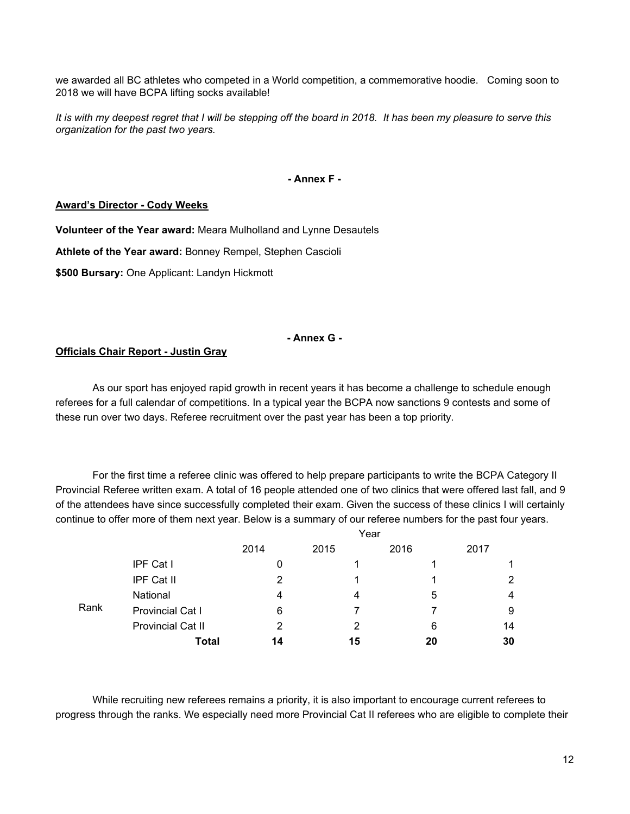we awarded all BC athletes who competed in a World competition, a commemorative hoodie. Coming soon to 2018 we will have BCPA lifting socks available!

It is with my deepest regret that I will be stepping off the board in 2018. It has been my pleasure to serve this *organization for the past two years.*

### **- Annex F -**

### **Award's Director - Cody Weeks**

**Volunteer of the Year award:** Meara Mulholland and Lynne Desautels

**Athlete of the Year award:** Bonney Rempel, Stephen Cascioli

**\$500 Bursary:** One Applicant: Landyn Hickmott

### **- Annex G -**

### **Officials Chair Report - Justin Gray**

As our sport has enjoyed rapid growth in recent years it has become a challenge to schedule enough referees for a full calendar of competitions. In a typical year the BCPA now sanctions 9 contests and some of these run over two days. Referee recruitment over the past year has been a top priority.

For the first time a referee clinic was offered to help prepare participants to write the BCPA Category II Provincial Referee written exam. A total of 16 people attended one of two clinics that were offered last fall, and 9 of the attendees have since successfully completed their exam. Given the success of these clinics I will certainly continue to offer more of them next year. Below is a summary of our referee numbers for the past four years.

|      |                          | Year |      |      |                |
|------|--------------------------|------|------|------|----------------|
|      |                          | 2014 | 2015 | 2016 | 2017           |
|      | IPF Cat I                | 0    |      |      | 1.             |
|      | IPF Cat II               | 2    |      |      | $\overline{2}$ |
| Rank | National                 | 4    | 4    | 5    | 4              |
|      | Provincial Cat I         | 6    |      |      | 9              |
|      | <b>Provincial Cat II</b> | 2    | 2    | 6    | 14             |
|      | <b>Total</b>             | 14   | 15   | 20   | 30             |

While recruiting new referees remains a priority, it is also important to encourage current referees to progress through the ranks. We especially need more Provincial Cat II referees who are eligible to complete their